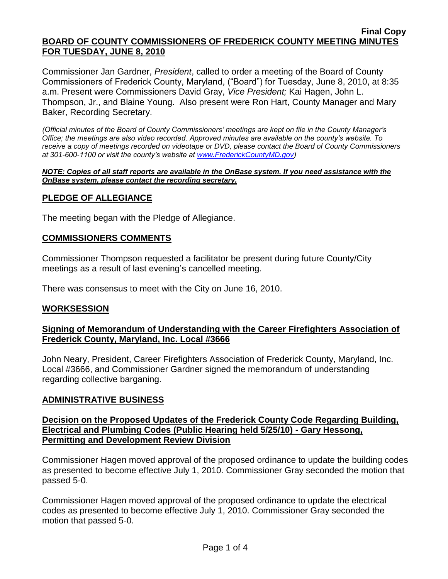#### **Final Copy BOARD OF COUNTY COMMISSIONERS OF FREDERICK COUNTY MEETING MINUTES FOR TUESDAY, JUNE 8, 2010**

Commissioner Jan Gardner, *President*, called to order a meeting of the Board of County Commissioners of Frederick County, Maryland, ("Board") for Tuesday, June 8, 2010, at 8:35 a.m. Present were Commissioners David Gray, *Vice President;* Kai Hagen, John L. Thompson, Jr., and Blaine Young. Also present were Ron Hart, County Manager and Mary Baker, Recording Secretary.

*(Official minutes of the Board of County Commissioners' meetings are kept on file in the County Manager's Office; the meetings are also video recorded. Approved minutes are available on the county's website. To receive a copy of meetings recorded on videotape or DVD, please contact the Board of County Commissioners at 301-600-1100 or visit the county's website at [www.FrederickCountyMD.gov\)](http://www.frederickcountymd.gov/)*

#### *NOTE: Copies of all staff reports are available in the OnBase system. If you need assistance with the OnBase system, please contact the recording secretary.*

# **PLEDGE OF ALLEGIANCE**

The meeting began with the Pledge of Allegiance.

# **COMMISSIONERS COMMENTS**

Commissioner Thompson requested a facilitator be present during future County/City meetings as a result of last evening's cancelled meeting.

There was consensus to meet with the City on June 16, 2010.

# **WORKSESSION**

# **Signing of Memorandum of Understanding with the Career Firefighters Association of Frederick County, Maryland, Inc. Local #3666**

John Neary, President, Career Firefighters Association of Frederick County, Maryland, Inc. Local #3666, and Commissioner Gardner signed the memorandum of understanding regarding collective barganing.

# **ADMINISTRATIVE BUSINESS**

# **Decision on the Proposed Updates of the Frederick County Code Regarding Building, Electrical and Plumbing Codes (Public Hearing held 5/25/10) - Gary Hessong, Permitting and Development Review Division**

Commissioner Hagen moved approval of the proposed ordinance to update the building codes as presented to become effective July 1, 2010. Commissioner Gray seconded the motion that passed 5-0.

Commissioner Hagen moved approval of the proposed ordinance to update the electrical codes as presented to become effective July 1, 2010. Commissioner Gray seconded the motion that passed 5-0.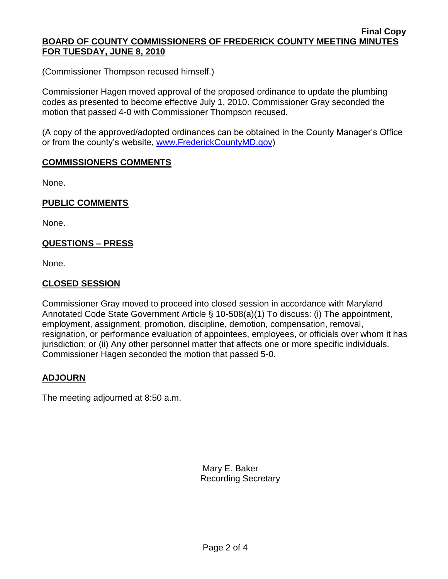#### **Final Copy BOARD OF COUNTY COMMISSIONERS OF FREDERICK COUNTY MEETING MINUTES FOR TUESDAY, JUNE 8, 2010**

(Commissioner Thompson recused himself.)

Commissioner Hagen moved approval of the proposed ordinance to update the plumbing codes as presented to become effective July 1, 2010. Commissioner Gray seconded the motion that passed 4-0 with Commissioner Thompson recused.

(A copy of the approved/adopted ordinances can be obtained in the County Manager's Office or from the county's website, [www.FrederickCountyMD.gov\)](file://NT1S5/BOCC/BOCC/BOCC%20Minutes/Mary)

# **COMMISSIONERS COMMENTS**

None.

# **PUBLIC COMMENTS**

None.

# **QUESTIONS – PRESS**

None.

# **CLOSED SESSION**

Commissioner Gray moved to proceed into closed session in accordance with Maryland Annotated Code State Government Article § 10-508(a)(1) To discuss: (i) The appointment, employment, assignment, promotion, discipline, demotion, compensation, removal, resignation, or performance evaluation of appointees, employees, or officials over whom it has jurisdiction; or (ii) Any other personnel matter that affects one or more specific individuals. Commissioner Hagen seconded the motion that passed 5-0.

# **ADJOURN**

The meeting adjourned at 8:50 a.m.

Mary E. Baker Recording Secretary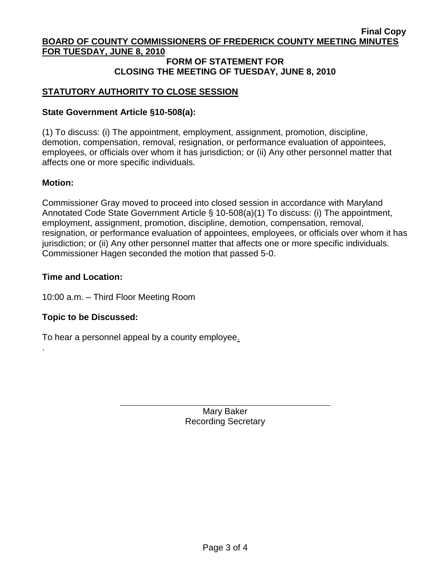#### **Final Copy BOARD OF COUNTY COMMISSIONERS OF FREDERICK COUNTY MEETING MINUTES FOR TUESDAY, JUNE 8, 2010**

#### **FORM OF STATEMENT FOR CLOSING THE MEETING OF TUESDAY, JUNE 8, 2010**

# **STATUTORY AUTHORITY TO CLOSE SESSION**

# **State Government Article §10-508(a):**

(1) To discuss: (i) The appointment, employment, assignment, promotion, discipline, demotion, compensation, removal, resignation, or performance evaluation of appointees, employees, or officials over whom it has jurisdiction; or (ii) Any other personnel matter that affects one or more specific individuals.

# **Motion:**

.

Commissioner Gray moved to proceed into closed session in accordance with Maryland Annotated Code State Government Article § 10-508(a)(1) To discuss: (i) The appointment, employment, assignment, promotion, discipline, demotion, compensation, removal, resignation, or performance evaluation of appointees, employees, or officials over whom it has jurisdiction; or (ii) Any other personnel matter that affects one or more specific individuals. Commissioner Hagen seconded the motion that passed 5-0.

# **Time and Location:**

10:00 a.m. – Third Floor Meeting Room

# **Topic to be Discussed:**

To hear a personnel appeal by a county employee.

Mary Baker Recording Secretary